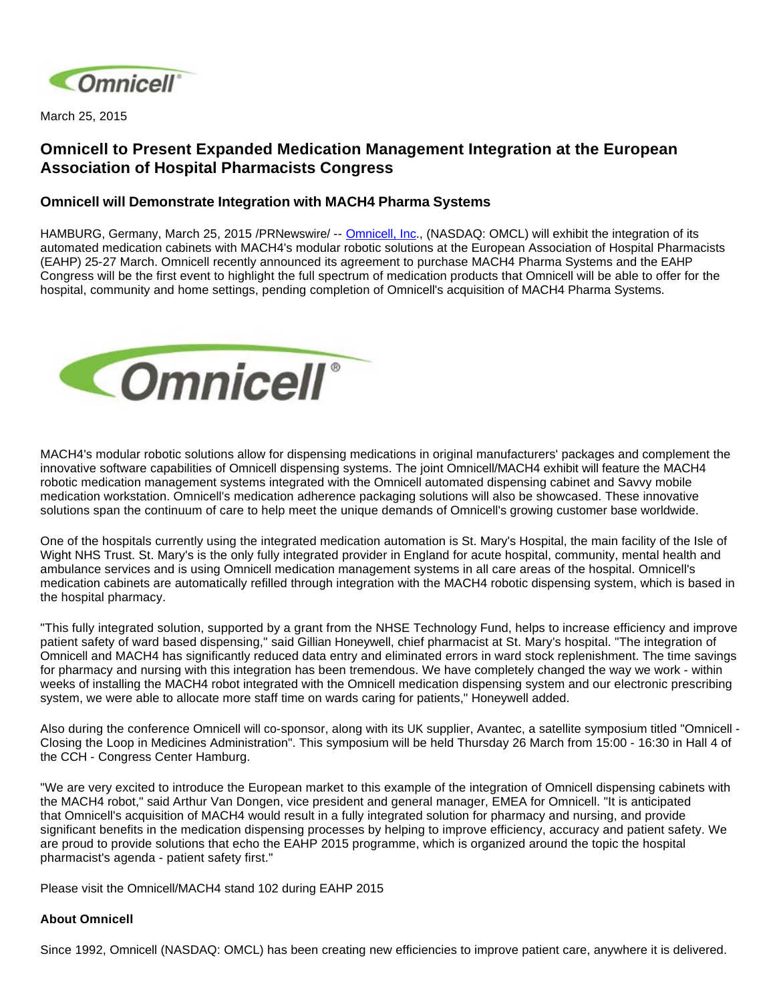

March 25, 2015

## **Omnicell to Present Expanded Medication Management Integration at the European Association of Hospital Pharmacists Congress**

## **Omnicell will Demonstrate Integration with MACH4 Pharma Systems**

HAMBURG, Germany, March 25, 2015 /PRNewswire/-- [Omnicell, Inc.](http://www.omnicell.com/), (NASDAQ: OMCL) will exhibit the integration of its automated medication cabinets with MACH4's modular robotic solutions at the European Association of Hospital Pharmacists (EAHP) 25-27 March. Omnicell recently announced its agreement to purchase MACH4 Pharma Systems and the EAHP Congress will be the first event to highlight the full spectrum of medication products that Omnicell will be able to offer for the hospital, community and home settings, pending completion of Omnicell's acquisition of MACH4 Pharma Systems.



MACH4's modular robotic solutions allow for dispensing medications in original manufacturers' packages and complement the innovative software capabilities of Omnicell dispensing systems. The joint Omnicell/MACH4 exhibit will feature the MACH4 robotic medication management systems integrated with the Omnicell automated dispensing cabinet and Savvy mobile medication workstation. Omnicell's medication adherence packaging solutions will also be showcased. These innovative solutions span the continuum of care to help meet the unique demands of Omnicell's growing customer base worldwide.

One of the hospitals currently using the integrated medication automation is St. Mary's Hospital, the main facility of the Isle of Wight NHS Trust. St. Mary's is the only fully integrated provider in England for acute hospital, community, mental health and ambulance services and is using Omnicell medication management systems in all care areas of the hospital. Omnicell's medication cabinets are automatically refilled through integration with the MACH4 robotic dispensing system, which is based in the hospital pharmacy.

"This fully integrated solution, supported by a grant from the NHSE Technology Fund, helps to increase efficiency and improve patient safety of ward based dispensing," said Gillian Honeywell, chief pharmacist at St. Mary's hospital. "The integration of Omnicell and MACH4 has significantly reduced data entry and eliminated errors in ward stock replenishment. The time savings for pharmacy and nursing with this integration has been tremendous. We have completely changed the way we work - within weeks of installing the MACH4 robot integrated with the Omnicell medication dispensing system and our electronic prescribing system, we were able to allocate more staff time on wards caring for patients," Honeywell added.

Also during the conference Omnicell will co-sponsor, along with its UK supplier, Avantec, a satellite symposium titled "Omnicell - Closing the Loop in Medicines Administration". This symposium will be held Thursday 26 March from 15:00 - 16:30 in Hall 4 of the CCH - Congress Center Hamburg.

"We are very excited to introduce the European market to this example of the integration of Omnicell dispensing cabinets with the MACH4 robot," said Arthur Van Dongen, vice president and general manager, EMEA for Omnicell. "It is anticipated that Omnicell's acquisition of MACH4 would result in a fully integrated solution for pharmacy and nursing, and provide significant benefits in the medication dispensing processes by helping to improve efficiency, accuracy and patient safety. We are proud to provide solutions that echo the EAHP 2015 programme, which is organized around the topic the hospital pharmacist's agenda - patient safety first."

Please visit the Omnicell/MACH4 stand 102 during EAHP 2015

## **About Omnicell**

Since 1992, Omnicell (NASDAQ: OMCL) has been creating new efficiencies to improve patient care, anywhere it is delivered.